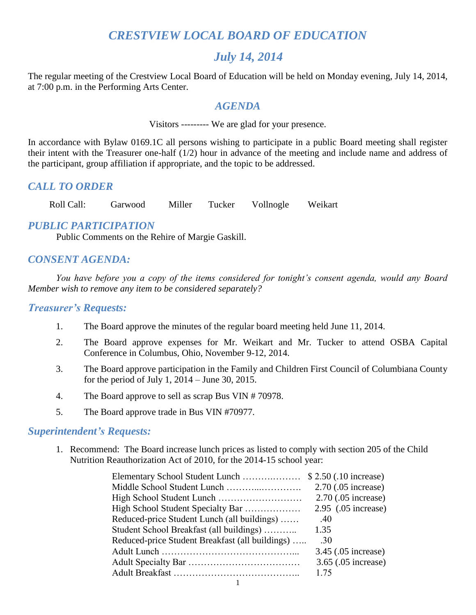# *CRESTVIEW LOCAL BOARD OF EDUCATION*

## *July 14, 2014*

The regular meeting of the Crestview Local Board of Education will be held on Monday evening, July 14, 2014, at 7:00 p.m. in the Performing Arts Center.

#### *AGENDA*

Visitors --------- We are glad for your presence.

In accordance with Bylaw 0169.1C all persons wishing to participate in a public Board meeting shall register their intent with the Treasurer one-half (1/2) hour in advance of the meeting and include name and address of the participant, group affiliation if appropriate, and the topic to be addressed.

## *CALL TO ORDER*

Roll Call: Garwood Miller Tucker Vollnogle Weikart

## *PUBLIC PARTICIPATION*

Public Comments on the Rehire of Margie Gaskill.

## *CONSENT AGENDA:*

*You have before you a copy of the items considered for tonight's consent agenda, would any Board Member wish to remove any item to be considered separately?*

#### *Treasurer's Requests:*

- 1. The Board approve the minutes of the regular board meeting held June 11, 2014.
- 2. The Board approve expenses for Mr. Weikart and Mr. Tucker to attend OSBA Capital Conference in Columbus, Ohio, November 9-12, 2014.
- 3. The Board approve participation in the Family and Children First Council of Columbiana County for the period of July 1, 2014 – June 30, 2015.
- 4. The Board approve to sell as scrap Bus VIN # 70978.
- 5. The Board approve trade in Bus VIN #70977.

#### *Superintendent's Requests:*

1. Recommend: The Board increase lunch prices as listed to comply with section 205 of the Child Nutrition Reauthorization Act of 2010, for the 2014-15 school year:

|                                                 | 2.70 (.05 increase) |
|-------------------------------------------------|---------------------|
|                                                 | 2.70 (.05 increase) |
| High School Student Specialty Bar               | 2.95 (.05 increase) |
| Reduced-price Student Lunch (all buildings)     | .40                 |
| Student School Breakfast (all buildings)        | 1.35                |
| Reduced-price Student Breakfast (all buildings) | .30                 |
|                                                 | 3.45 (.05 increase) |
|                                                 | 3.65 (.05 increase) |
|                                                 | 1 75                |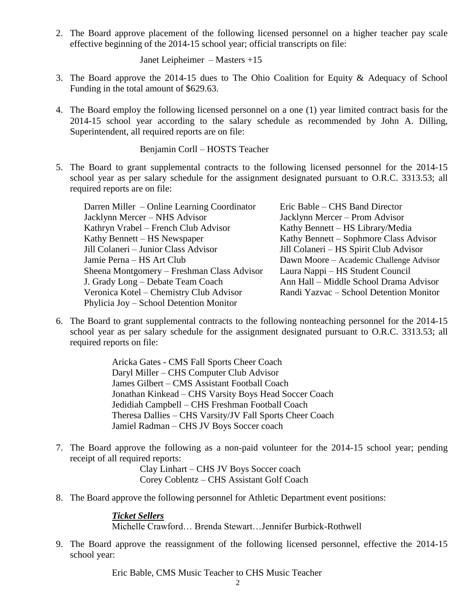2. The Board approve placement of the following licensed personnel on a higher teacher pay scale effective beginning of the 2014-15 school year; official transcripts on file:

Janet Leipheimer – Masters +15

- 3. The Board approve the 2014-15 dues to The Ohio Coalition for Equity & Adequacy of School Funding in the total amount of \$629.63.
- 4. The Board employ the following licensed personnel on a one (1) year limited contract basis for the 2014-15 school year according to the salary schedule as recommended by John A. Dilling, Superintendent, all required reports are on file:

Benjamin Corll – HOSTS Teacher

5. The Board to grant supplemental contracts to the following licensed personnel for the 2014-15 school year as per salary schedule for the assignment designated pursuant to O.R.C. 3313.53; all required reports are on file:

Darren Miller – Online Learning Coordinator Eric Bable – CHS Band Director Jacklynn Mercer – NHS Advisor Jacklynn Mercer – Prom Advisor Kathryn Vrabel – French Club Advisor Kathy Bennett – HS Library/Media Kathy Bennett – HS Newspaper Kathy Bennett – Sophmore Class Advisor Jill Colaneri – Junior Class Advisor Jill Colaneri – HS Spirit Club Advisor Jamie Perna – HS Art Club Dawn Moore – Academic Challenge Advisor Sheena Montgomery – Freshman Class Advisor Laura Nappi – HS Student Council J. Grady Long – Debate Team Coach Ann Hall – Middle School Drama Advisor Veronica Kotel – Chemistry Club Advisor Randi Yazvac – School Detention Monitor Phylicia Joy – School Detention Monitor

6. The Board to grant supplemental contracts to the following nonteaching personnel for the 2014-15 school year as per salary schedule for the assignment designated pursuant to O.R.C. 3313.53; all required reports on file:

> Aricka Gates - CMS Fall Sports Cheer Coach Daryl Miller – CHS Computer Club Advisor James Gilbert – CMS Assistant Football Coach Jonathan Kinkead – CHS Varsity Boys Head Soccer Coach Jedidiah Campbell – CHS Freshman Football Coach Theresa Dallies – CHS Varsity/JV Fall Sports Cheer Coach Jamiel Radman – CHS JV Boys Soccer coach

7. The Board approve the following as a non-paid volunteer for the 2014-15 school year; pending receipt of all required reports:

> Clay Linhart – CHS JV Boys Soccer coach Corey Coblentz – CHS Assistant Golf Coach

8. The Board approve the following personnel for Athletic Department event positions:

*Ticket Sellers* Michelle Crawford… Brenda Stewart…Jennifer Burbick-Rothwell

9. The Board approve the reassignment of the following licensed personnel, effective the 2014-15 school year:

Eric Bable, CMS Music Teacher to CHS Music Teacher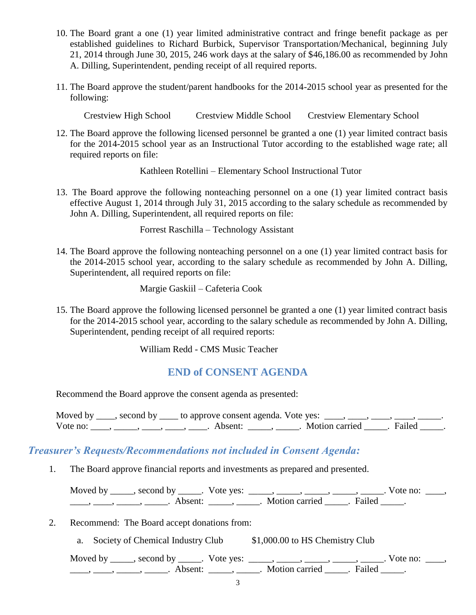- 10. The Board grant a one (1) year limited administrative contract and fringe benefit package as per established guidelines to Richard Burbick, Supervisor Transportation/Mechanical, beginning July 21, 2014 through June 30, 2015, 246 work days at the salary of \$46,186.00 as recommended by John A. Dilling, Superintendent, pending receipt of all required reports.
- 11. The Board approve the student/parent handbooks for the 2014-2015 school year as presented for the following:

Crestview High School Crestview Middle School Crestview Elementary School

12. The Board approve the following licensed personnel be granted a one (1) year limited contract basis for the 2014-2015 school year as an Instructional Tutor according to the established wage rate; all required reports on file:

Kathleen Rotellini – Elementary School Instructional Tutor

13. The Board approve the following nonteaching personnel on a one (1) year limited contract basis effective August 1, 2014 through July 31, 2015 according to the salary schedule as recommended by John A. Dilling, Superintendent, all required reports on file:

Forrest Raschilla – Technology Assistant

14. The Board approve the following nonteaching personnel on a one (1) year limited contract basis for the 2014-2015 school year, according to the salary schedule as recommended by John A. Dilling, Superintendent, all required reports on file:

Margie Gaskiil – Cafeteria Cook

15. The Board approve the following licensed personnel be granted a one (1) year limited contract basis for the 2014-2015 school year, according to the salary schedule as recommended by John A. Dilling, Superintendent, pending receipt of all required reports:

William Redd - CMS Music Teacher

## **END of CONSENT AGENDA**

Recommend the Board approve the consent agenda as presented:

Moved by  $\_\_\_\$ , second by  $\_\_\_\$ to approve consent agenda. Vote yes:  $\_\_\_\_\_\_\_\_\_\_\_\_\_\_\_$ Vote no:  $\frac{1}{\sqrt{1-\frac{1}{2}}}, \frac{1}{\sqrt{1-\frac{1}{2}}}, \frac{1}{\sqrt{1-\frac{1}{2}}}, \frac{1}{\sqrt{1-\frac{1}{2}}}, \frac{1}{\sqrt{1-\frac{1}{2}}}, \frac{1}{\sqrt{1-\frac{1}{2}}}, \frac{1}{\sqrt{1-\frac{1}{2}}}, \frac{1}{\sqrt{1-\frac{1}{2}}}, \frac{1}{\sqrt{1-\frac{1}{2}}}, \frac{1}{\sqrt{1-\frac{1}{2}}}, \frac{1}{\sqrt{1-\frac{1}{2}}}, \frac{1}{\sqrt{1-\frac{1}{2}}}, \frac{1}{\sqrt$ 

#### *Treasurer's Requests/Recommendations not included in Consent Agenda:*

1. The Board approve financial reports and investments as prepared and presented.

Moved by \_\_\_\_\_, second by \_\_\_\_\_. Vote yes: \_\_\_\_\_, \_\_\_\_\_, \_\_\_\_\_, \_\_\_\_\_, \_\_\_\_\_. Vote no: \_\_\_\_,  $\frac{1}{\sqrt{2\pi}}$ ,  $\frac{1}{\sqrt{2\pi}}$ ,  $\frac{1}{\sqrt{2\pi}}$ ,  $\frac{1}{\sqrt{2\pi}}$ ,  $\frac{1}{\sqrt{2\pi}}$ ,  $\frac{1}{\sqrt{2\pi}}$ ,  $\frac{1}{\sqrt{2\pi}}$ ,  $\frac{1}{\sqrt{2\pi}}$ ,  $\frac{1}{\sqrt{2\pi}}$ ,  $\frac{1}{\sqrt{2\pi}}$ 

- 2. Recommend: The Board accept donations from:
	- a. Society of Chemical Industry Club \$1,000.00 to HS Chemistry Club

Moved by \_\_\_\_\_, second by \_\_\_\_\_. Vote yes:  $\_\_\_\_\_\_\_\_\_\_\_\_\_\_\_$  \_\_\_\_\_, \_\_\_\_\_, \_\_\_\_\_. Vote no:  $\_\_\_\_\_\_\$ \_\_\_\_\_, \_\_\_\_\_\_, \_\_\_\_\_\_\_. Absent: \_\_\_\_\_\_, \_\_\_\_\_\_. Motion carried \_\_\_\_\_\_. Failed \_\_\_\_\_.